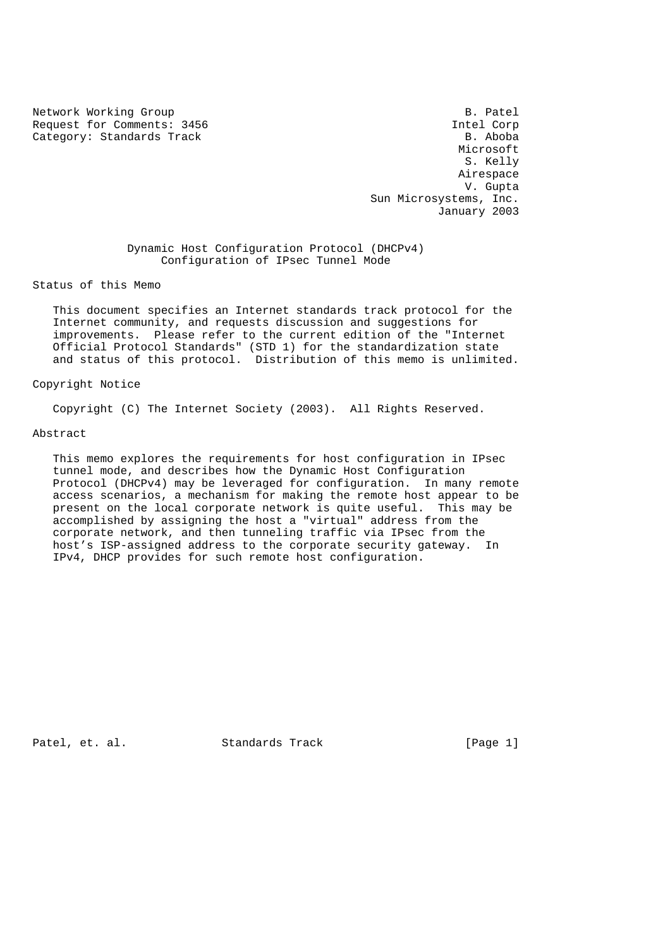Network Working Group<br>Request for Comments: 3456 Sequest for Comments: 3456 Request for Comments: 3456 Intel Corp<br>
Category: Standards Track B. Aboba Category: Standards Track

Microsoft<br>S. Kelly S. Kelly Airespace V. Gupta Sun Microsystems, Inc. January 2003

> Dynamic Host Configuration Protocol (DHCPv4) Configuration of IPsec Tunnel Mode

Status of this Memo

 This document specifies an Internet standards track protocol for the Internet community, and requests discussion and suggestions for improvements. Please refer to the current edition of the "Internet Official Protocol Standards" (STD 1) for the standardization state and status of this protocol. Distribution of this memo is unlimited.

#### Copyright Notice

Copyright (C) The Internet Society (2003). All Rights Reserved.

## Abstract

 This memo explores the requirements for host configuration in IPsec tunnel mode, and describes how the Dynamic Host Configuration Protocol (DHCPv4) may be leveraged for configuration. In many remote access scenarios, a mechanism for making the remote host appear to be present on the local corporate network is quite useful. This may be accomplished by assigning the host a "virtual" address from the corporate network, and then tunneling traffic via IPsec from the host's ISP-assigned address to the corporate security gateway. In IPv4, DHCP provides for such remote host configuration.

Patel, et. al. Standards Track [Page 1]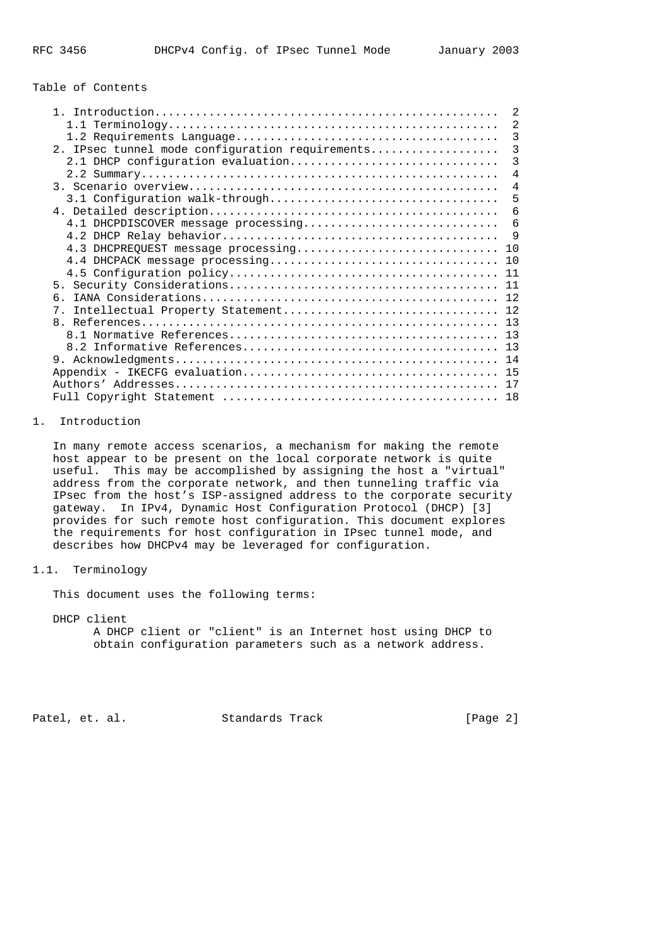## Table of Contents

|                                                 | $\overline{2}$ |
|-------------------------------------------------|----------------|
|                                                 | $\overline{2}$ |
|                                                 | 3              |
| 2. IPsec tunnel mode configuration requirements | 3              |
| 2.1 DHCP configuration evaluation               | 3              |
|                                                 | 4              |
|                                                 | $\overline{4}$ |
|                                                 | 5              |
|                                                 | 6              |
| 4.1 DHCPDISCOVER message processing             | 6              |
|                                                 | 9              |
| 4.3 DHCPREQUEST message processing              | 10             |
|                                                 |                |
|                                                 |                |
|                                                 | 11             |
| б.                                              |                |
| $7$ .                                           |                |
|                                                 |                |
|                                                 |                |
|                                                 |                |
|                                                 |                |
|                                                 |                |
|                                                 | 17             |
|                                                 | 18             |

# 1. Introduction

 In many remote access scenarios, a mechanism for making the remote host appear to be present on the local corporate network is quite useful. This may be accomplished by assigning the host a "virtual" address from the corporate network, and then tunneling traffic via IPsec from the host's ISP-assigned address to the corporate security gateway. In IPv4, Dynamic Host Configuration Protocol (DHCP) [3] provides for such remote host configuration. This document explores the requirements for host configuration in IPsec tunnel mode, and describes how DHCPv4 may be leveraged for configuration.

# 1.1. Terminology

This document uses the following terms:

 DHCP client A DHCP client or "client" is an Internet host using DHCP to obtain configuration parameters such as a network address.

Patel, et. al. Standards Track [Page 2]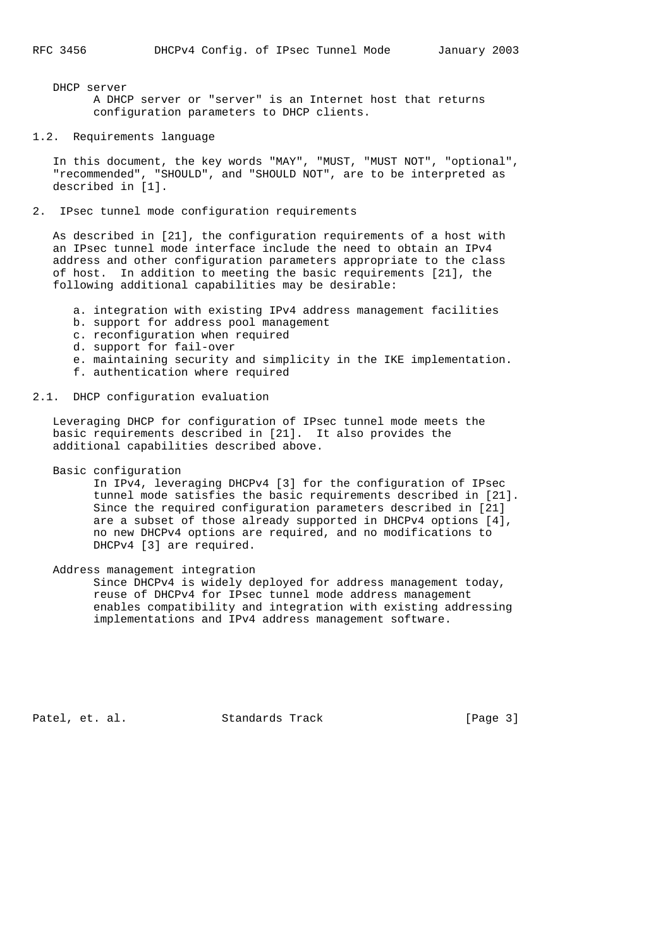DHCP server A DHCP server or "server" is an Internet host that returns configuration parameters to DHCP clients.

# 1.2. Requirements language

 In this document, the key words "MAY", "MUST, "MUST NOT", "optional", "recommended", "SHOULD", and "SHOULD NOT", are to be interpreted as described in [1].

# 2. IPsec tunnel mode configuration requirements

 As described in [21], the configuration requirements of a host with an IPsec tunnel mode interface include the need to obtain an IPv4 address and other configuration parameters appropriate to the class of host. In addition to meeting the basic requirements [21], the following additional capabilities may be desirable:

- a. integration with existing IPv4 address management facilities
- b. support for address pool management
- c. reconfiguration when required
- d. support for fail-over
- e. maintaining security and simplicity in the IKE implementation.
- f. authentication where required

# 2.1. DHCP configuration evaluation

 Leveraging DHCP for configuration of IPsec tunnel mode meets the basic requirements described in [21]. It also provides the additional capabilities described above.

Basic configuration

 In IPv4, leveraging DHCPv4 [3] for the configuration of IPsec tunnel mode satisfies the basic requirements described in [21]. Since the required configuration parameters described in [21] are a subset of those already supported in DHCPv4 options [4], no new DHCPv4 options are required, and no modifications to DHCPv4 [3] are required.

Address management integration

 Since DHCPv4 is widely deployed for address management today, reuse of DHCPv4 for IPsec tunnel mode address management enables compatibility and integration with existing addressing implementations and IPv4 address management software.

Patel, et. al. Standards Track [Page 3]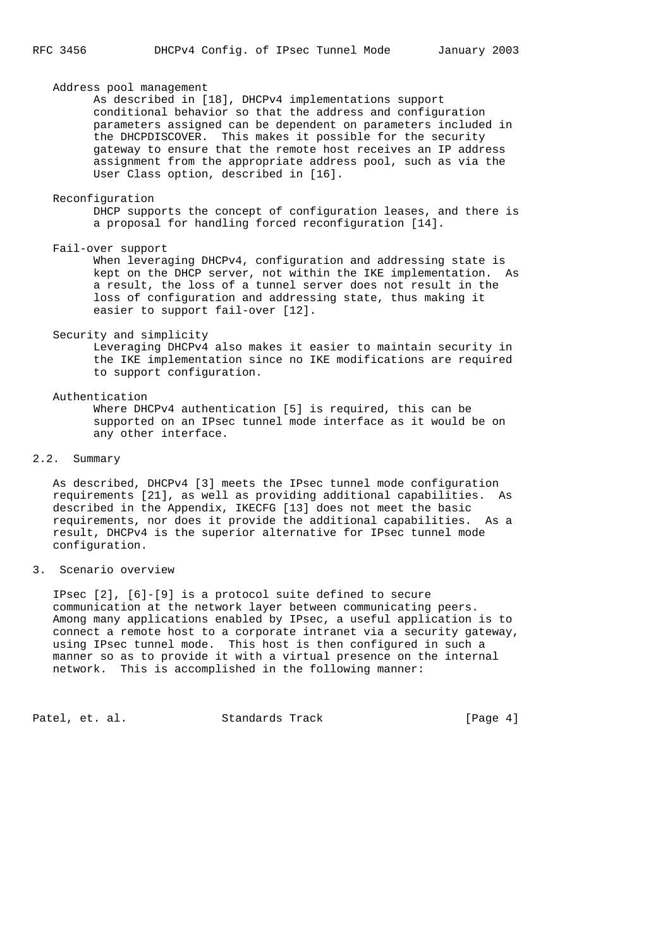## Address pool management

 As described in [18], DHCPv4 implementations support conditional behavior so that the address and configuration parameters assigned can be dependent on parameters included in the DHCPDISCOVER. This makes it possible for the security gateway to ensure that the remote host receives an IP address assignment from the appropriate address pool, such as via the User Class option, described in [16].

#### Reconfiguration

 DHCP supports the concept of configuration leases, and there is a proposal for handling forced reconfiguration [14].

Fail-over support

 When leveraging DHCPv4, configuration and addressing state is kept on the DHCP server, not within the IKE implementation. As a result, the loss of a tunnel server does not result in the loss of configuration and addressing state, thus making it easier to support fail-over [12].

## Security and simplicity

 Leveraging DHCPv4 also makes it easier to maintain security in the IKE implementation since no IKE modifications are required to support configuration.

#### Authentication

 Where DHCPv4 authentication [5] is required, this can be supported on an IPsec tunnel mode interface as it would be on any other interface.

# 2.2. Summary

 As described, DHCPv4 [3] meets the IPsec tunnel mode configuration requirements [21], as well as providing additional capabilities. As described in the Appendix, IKECFG [13] does not meet the basic requirements, nor does it provide the additional capabilities. As a result, DHCPv4 is the superior alternative for IPsec tunnel mode configuration.

# 3. Scenario overview

 IPsec [2], [6]-[9] is a protocol suite defined to secure communication at the network layer between communicating peers. Among many applications enabled by IPsec, a useful application is to connect a remote host to a corporate intranet via a security gateway, using IPsec tunnel mode. This host is then configured in such a manner so as to provide it with a virtual presence on the internal network. This is accomplished in the following manner:

Patel, et. al. Standards Track [Page 4]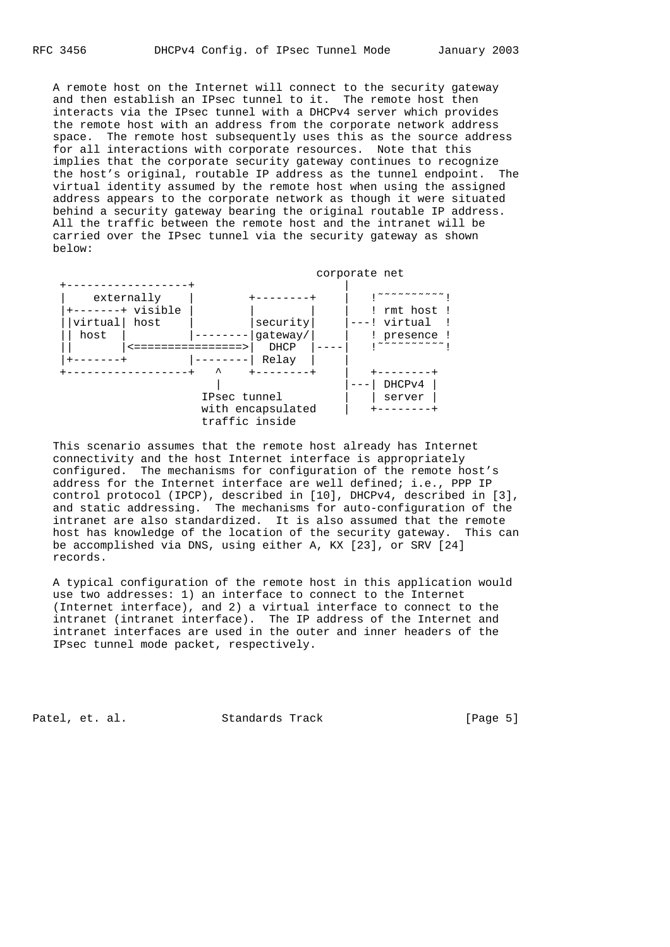A remote host on the Internet will connect to the security gateway and then establish an IPsec tunnel to it. The remote host then interacts via the IPsec tunnel with a DHCPv4 server which provides the remote host with an address from the corporate network address space. The remote host subsequently uses this as the source address for all interactions with corporate resources. Note that this implies that the corporate security gateway continues to recognize the host's original, routable IP address as the tunnel endpoint. The virtual identity assumed by the remote host when using the assigned address appears to the corporate network as though it were situated behind a security gateway bearing the original routable IP address. All the traffic between the remote host and the intranet will be carried over the IPsec tunnel via the security gateway as shown below:



 This scenario assumes that the remote host already has Internet connectivity and the host Internet interface is appropriately configured. The mechanisms for configuration of the remote host's address for the Internet interface are well defined; i.e., PPP IP control protocol (IPCP), described in [10], DHCPv4, described in [3], and static addressing. The mechanisms for auto-configuration of the intranet are also standardized. It is also assumed that the remote host has knowledge of the location of the security gateway. This can be accomplished via DNS, using either A, KX [23], or SRV [24] records.

 A typical configuration of the remote host in this application would use two addresses: 1) an interface to connect to the Internet (Internet interface), and 2) a virtual interface to connect to the intranet (intranet interface). The IP address of the Internet and intranet interfaces are used in the outer and inner headers of the IPsec tunnel mode packet, respectively.

Patel, et. al. Standards Track [Page 5]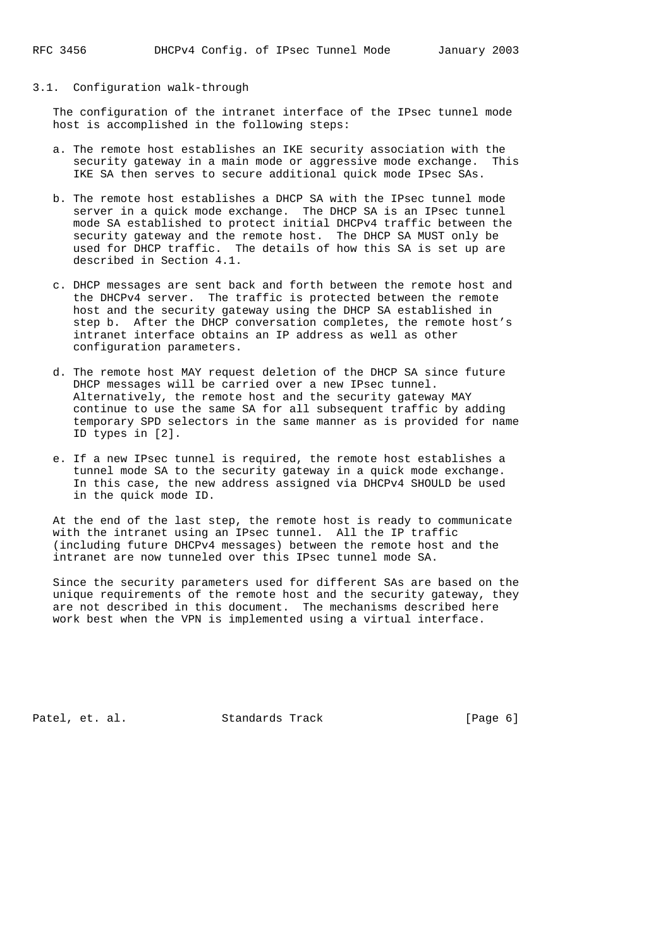## 3.1. Configuration walk-through

 The configuration of the intranet interface of the IPsec tunnel mode host is accomplished in the following steps:

- a. The remote host establishes an IKE security association with the security gateway in a main mode or aggressive mode exchange. This IKE SA then serves to secure additional quick mode IPsec SAs.
- b. The remote host establishes a DHCP SA with the IPsec tunnel mode server in a quick mode exchange. The DHCP SA is an IPsec tunnel mode SA established to protect initial DHCPv4 traffic between the security gateway and the remote host. The DHCP SA MUST only be used for DHCP traffic. The details of how this SA is set up are described in Section 4.1.
- c. DHCP messages are sent back and forth between the remote host and the DHCPv4 server. The traffic is protected between the remote host and the security gateway using the DHCP SA established in step b. After the DHCP conversation completes, the remote host's intranet interface obtains an IP address as well as other configuration parameters.
- d. The remote host MAY request deletion of the DHCP SA since future DHCP messages will be carried over a new IPsec tunnel. Alternatively, the remote host and the security gateway MAY continue to use the same SA for all subsequent traffic by adding temporary SPD selectors in the same manner as is provided for name ID types in [2].
- e. If a new IPsec tunnel is required, the remote host establishes a tunnel mode SA to the security gateway in a quick mode exchange. In this case, the new address assigned via DHCPv4 SHOULD be used in the quick mode ID.

 At the end of the last step, the remote host is ready to communicate with the intranet using an IPsec tunnel. All the IP traffic (including future DHCPv4 messages) between the remote host and the intranet are now tunneled over this IPsec tunnel mode SA.

 Since the security parameters used for different SAs are based on the unique requirements of the remote host and the security gateway, they are not described in this document. The mechanisms described here work best when the VPN is implemented using a virtual interface.

Patel, et. al. Standards Track [Page 6]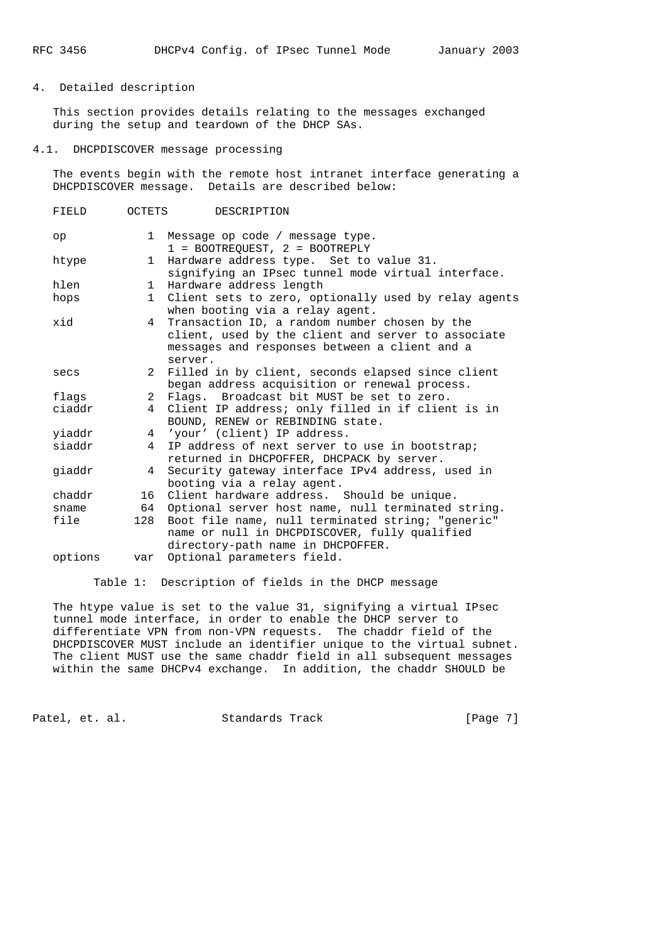# 4. Detailed description

 This section provides details relating to the messages exchanged during the setup and teardown of the DHCP SAs.

### 4.1. DHCPDISCOVER message processing

 The events begin with the remote host intranet interface generating a DHCPDISCOVER message. Details are described below:

| FIELD   | OCTETS       | DESCRIPTION                                                                                                                                                     |
|---------|--------------|-----------------------------------------------------------------------------------------------------------------------------------------------------------------|
| op      | $\mathbf{1}$ | Message op code / message type.<br>$1 = BOOTREOUEST$ , $2 = BOOTREPLY$                                                                                          |
| htype   | $\mathbf{1}$ | Hardware address type. Set to value 31.<br>signifying an IPsec tunnel mode virtual interface.                                                                   |
| hlen    | $\mathbf{1}$ | Hardware address length                                                                                                                                         |
| hops    | $\mathbf{1}$ | Client sets to zero, optionally used by relay agents<br>when booting via a relay agent.                                                                         |
| hix     | 4            | Transaction ID, a random number chosen by the<br>client, used by the client and server to associate<br>messages and responses between a client and a<br>server. |
| secs    | 2            | Filled in by client, seconds elapsed since client<br>began address acquisition or renewal process.                                                              |
| flags   | 2            | Flags. Broadcast bit MUST be set to zero.                                                                                                                       |
| ciaddr  | 4            | Client IP address; only filled in if client is in<br>BOUND, RENEW or REBINDING state.                                                                           |
| yiaddr  |              | 4 'vour' (client) IP address.                                                                                                                                   |
| siaddr  | 4            | IP address of next server to use in bootstrap;<br>returned in DHCPOFFER, DHCPACK by server.                                                                     |
| qiaddr  | 4            | Security gateway interface IPv4 address, used in<br>booting via a relay agent.                                                                                  |
| chaddr  | 16           | Client hardware address. Should be unique.                                                                                                                      |
| sname   | 64           | Optional server host name, null terminated string.                                                                                                              |
| file    | 128          | Boot file name, null terminated string; "generic"<br>name or null in DHCPDISCOVER, fully qualified<br>directory-path name in DHCPOFFER.                         |
| options | var          | Optional parameters field.                                                                                                                                      |

Table 1: Description of fields in the DHCP message

 The htype value is set to the value 31, signifying a virtual IPsec tunnel mode interface, in order to enable the DHCP server to differentiate VPN from non-VPN requests. The chaddr field of the DHCPDISCOVER MUST include an identifier unique to the virtual subnet. The client MUST use the same chaddr field in all subsequent messages within the same DHCPv4 exchange. In addition, the chaddr SHOULD be

Patel, et. al. Standards Track [Page 7]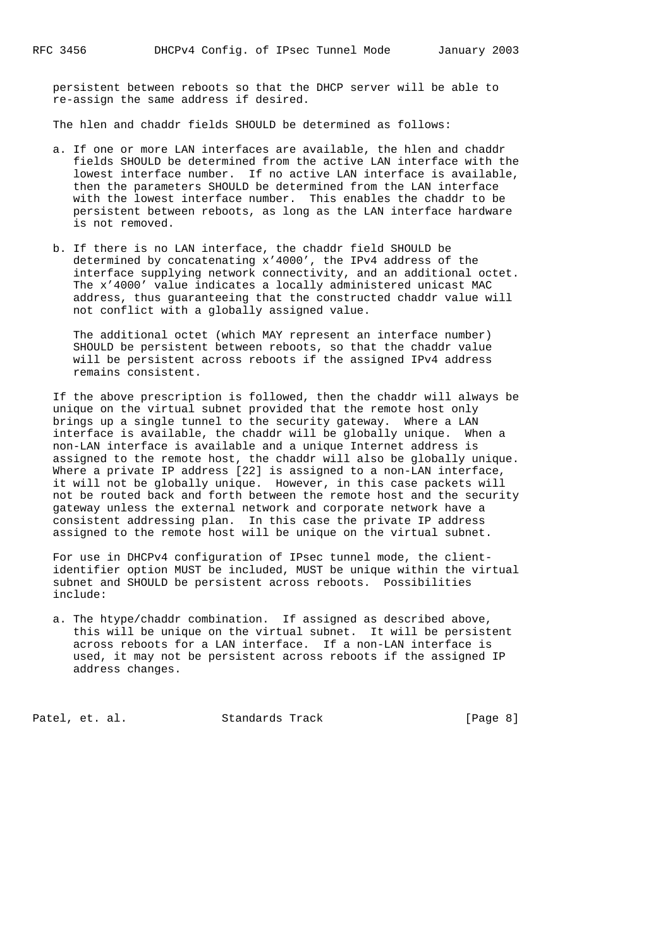persistent between reboots so that the DHCP server will be able to re-assign the same address if desired.

The hlen and chaddr fields SHOULD be determined as follows:

- a. If one or more LAN interfaces are available, the hlen and chaddr fields SHOULD be determined from the active LAN interface with the lowest interface number. If no active LAN interface is available, then the parameters SHOULD be determined from the LAN interface with the lowest interface number. This enables the chaddr to be persistent between reboots, as long as the LAN interface hardware is not removed.
- b. If there is no LAN interface, the chaddr field SHOULD be determined by concatenating x'4000', the IPv4 address of the interface supplying network connectivity, and an additional octet. The x'4000' value indicates a locally administered unicast MAC address, thus guaranteeing that the constructed chaddr value will not conflict with a globally assigned value.

 The additional octet (which MAY represent an interface number) SHOULD be persistent between reboots, so that the chaddr value will be persistent across reboots if the assigned IPv4 address remains consistent.

 If the above prescription is followed, then the chaddr will always be unique on the virtual subnet provided that the remote host only brings up a single tunnel to the security gateway. Where a LAN interface is available, the chaddr will be globally unique. When a non-LAN interface is available and a unique Internet address is assigned to the remote host, the chaddr will also be globally unique. Where a private IP address [22] is assigned to a non-LAN interface, it will not be globally unique. However, in this case packets will not be routed back and forth between the remote host and the security gateway unless the external network and corporate network have a consistent addressing plan. In this case the private IP address assigned to the remote host will be unique on the virtual subnet.

 For use in DHCPv4 configuration of IPsec tunnel mode, the client identifier option MUST be included, MUST be unique within the virtual subnet and SHOULD be persistent across reboots. Possibilities include:

 a. The htype/chaddr combination. If assigned as described above, this will be unique on the virtual subnet. It will be persistent across reboots for a LAN interface. If a non-LAN interface is used, it may not be persistent across reboots if the assigned IP address changes.

Patel, et. al. Standards Track [Page 8]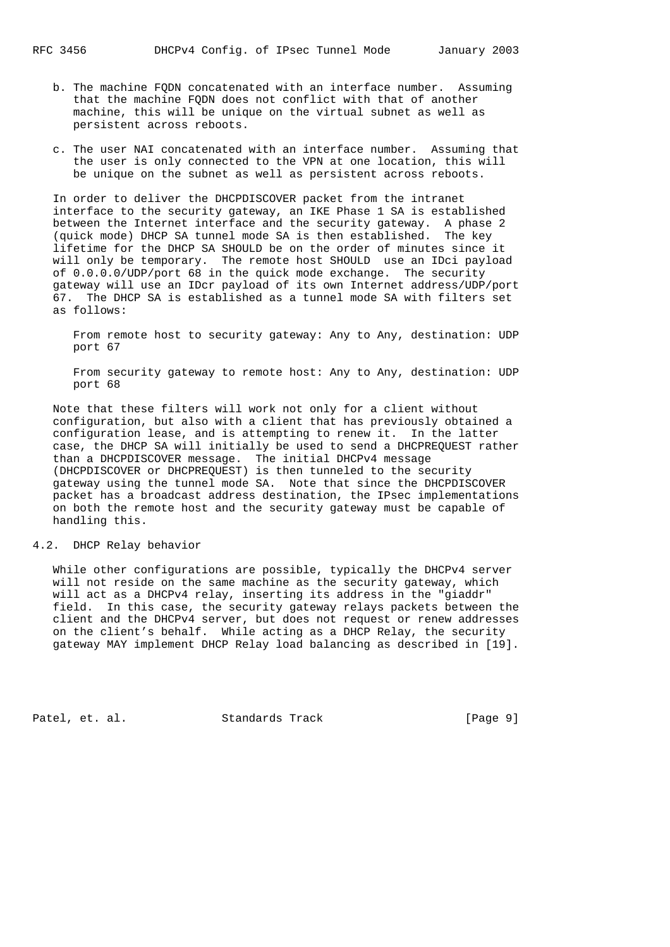- b. The machine FQDN concatenated with an interface number. Assuming that the machine FQDN does not conflict with that of another machine, this will be unique on the virtual subnet as well as persistent across reboots.
- c. The user NAI concatenated with an interface number. Assuming that the user is only connected to the VPN at one location, this will be unique on the subnet as well as persistent across reboots.

 In order to deliver the DHCPDISCOVER packet from the intranet interface to the security gateway, an IKE Phase 1 SA is established between the Internet interface and the security gateway. A phase 2 (quick mode) DHCP SA tunnel mode SA is then established. The key lifetime for the DHCP SA SHOULD be on the order of minutes since it will only be temporary. The remote host SHOULD use an IDci payload of 0.0.0.0/UDP/port 68 in the quick mode exchange. The security gateway will use an IDcr payload of its own Internet address/UDP/port 67. The DHCP SA is established as a tunnel mode SA with filters set as follows:

 From remote host to security gateway: Any to Any, destination: UDP port 67

 From security gateway to remote host: Any to Any, destination: UDP port 68

 Note that these filters will work not only for a client without configuration, but also with a client that has previously obtained a configuration lease, and is attempting to renew it. In the latter case, the DHCP SA will initially be used to send a DHCPREQUEST rather than a DHCPDISCOVER message. The initial DHCPv4 message (DHCPDISCOVER or DHCPREQUEST) is then tunneled to the security gateway using the tunnel mode SA. Note that since the DHCPDISCOVER packet has a broadcast address destination, the IPsec implementations on both the remote host and the security gateway must be capable of handling this.

## 4.2. DHCP Relay behavior

 While other configurations are possible, typically the DHCPv4 server will not reside on the same machine as the security gateway, which will act as a DHCPv4 relay, inserting its address in the "giaddr" field. In this case, the security gateway relays packets between the client and the DHCPv4 server, but does not request or renew addresses on the client's behalf. While acting as a DHCP Relay, the security gateway MAY implement DHCP Relay load balancing as described in [19].

Patel, et. al. Standards Track [Page 9]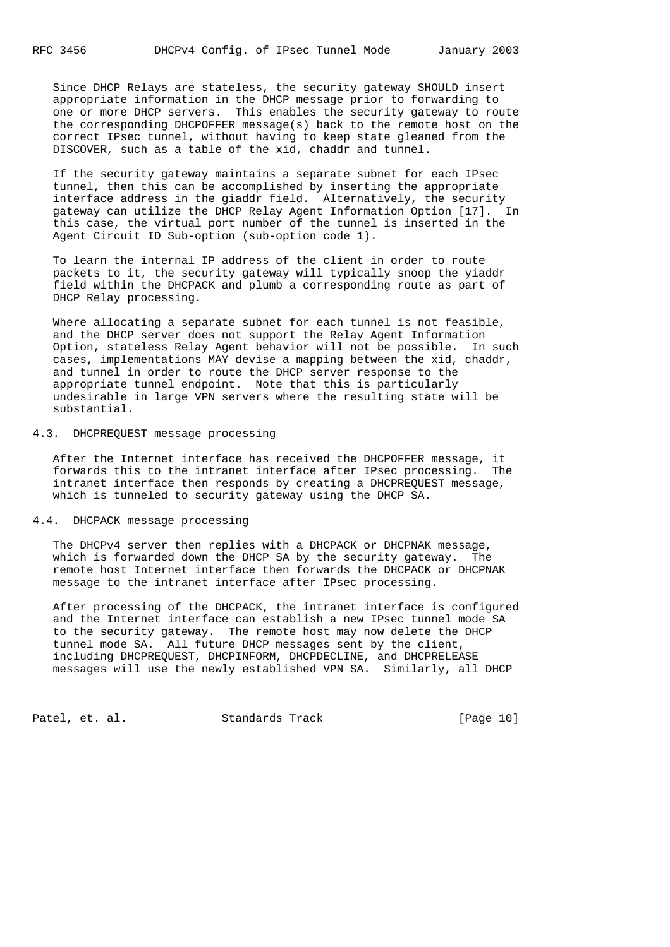Since DHCP Relays are stateless, the security gateway SHOULD insert appropriate information in the DHCP message prior to forwarding to one or more DHCP servers. This enables the security gateway to route the corresponding DHCPOFFER message(s) back to the remote host on the correct IPsec tunnel, without having to keep state gleaned from the DISCOVER, such as a table of the xid, chaddr and tunnel.

 If the security gateway maintains a separate subnet for each IPsec tunnel, then this can be accomplished by inserting the appropriate interface address in the giaddr field. Alternatively, the security gateway can utilize the DHCP Relay Agent Information Option [17]. In this case, the virtual port number of the tunnel is inserted in the Agent Circuit ID Sub-option (sub-option code 1).

 To learn the internal IP address of the client in order to route packets to it, the security gateway will typically snoop the yiaddr field within the DHCPACK and plumb a corresponding route as part of DHCP Relay processing.

 Where allocating a separate subnet for each tunnel is not feasible, and the DHCP server does not support the Relay Agent Information Option, stateless Relay Agent behavior will not be possible. In such cases, implementations MAY devise a mapping between the xid, chaddr, and tunnel in order to route the DHCP server response to the appropriate tunnel endpoint. Note that this is particularly undesirable in large VPN servers where the resulting state will be substantial.

# 4.3. DHCPREQUEST message processing

 After the Internet interface has received the DHCPOFFER message, it forwards this to the intranet interface after IPsec processing. The intranet interface then responds by creating a DHCPREQUEST message, which is tunneled to security gateway using the DHCP SA.

# 4.4. DHCPACK message processing

 The DHCPv4 server then replies with a DHCPACK or DHCPNAK message, which is forwarded down the DHCP SA by the security gateway. The remote host Internet interface then forwards the DHCPACK or DHCPNAK message to the intranet interface after IPsec processing.

 After processing of the DHCPACK, the intranet interface is configured and the Internet interface can establish a new IPsec tunnel mode SA to the security gateway. The remote host may now delete the DHCP tunnel mode SA. All future DHCP messages sent by the client, including DHCPREQUEST, DHCPINFORM, DHCPDECLINE, and DHCPRELEASE messages will use the newly established VPN SA. Similarly, all DHCP

Patel, et. al. Standards Track [Page 10]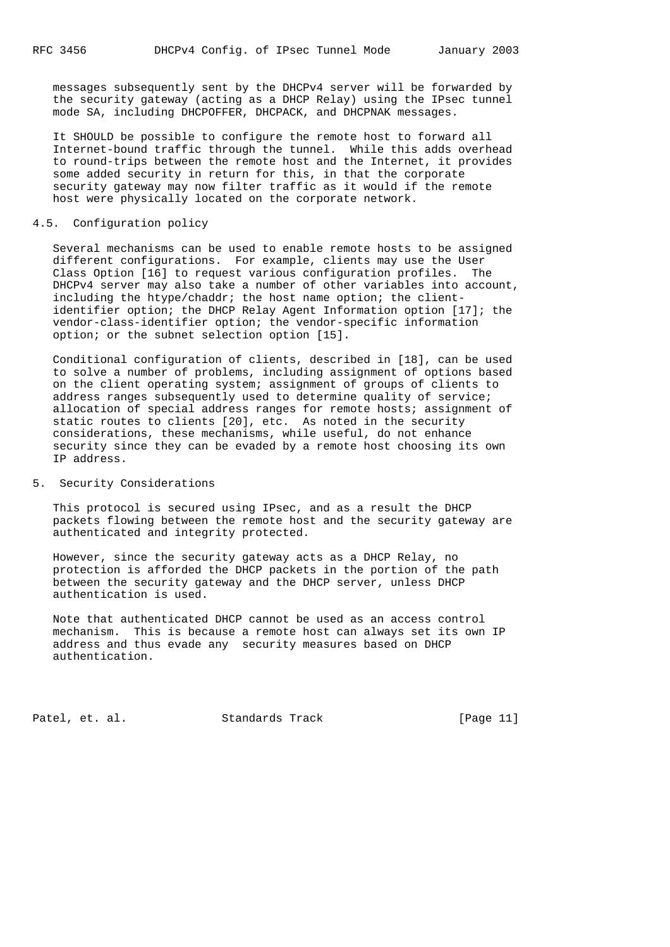messages subsequently sent by the DHCPv4 server will be forwarded by the security gateway (acting as a DHCP Relay) using the IPsec tunnel mode SA, including DHCPOFFER, DHCPACK, and DHCPNAK messages.

 It SHOULD be possible to configure the remote host to forward all Internet-bound traffic through the tunnel. While this adds overhead to round-trips between the remote host and the Internet, it provides some added security in return for this, in that the corporate security gateway may now filter traffic as it would if the remote host were physically located on the corporate network.

## 4.5. Configuration policy

 Several mechanisms can be used to enable remote hosts to be assigned different configurations. For example, clients may use the User Class Option [16] to request various configuration profiles. The DHCPv4 server may also take a number of other variables into account, including the htype/chaddr; the host name option; the client identifier option; the DHCP Relay Agent Information option [17]; the vendor-class-identifier option; the vendor-specific information option; or the subnet selection option [15].

 Conditional configuration of clients, described in [18], can be used to solve a number of problems, including assignment of options based on the client operating system; assignment of groups of clients to address ranges subsequently used to determine quality of service; allocation of special address ranges for remote hosts; assignment of static routes to clients [20], etc. As noted in the security considerations, these mechanisms, while useful, do not enhance security since they can be evaded by a remote host choosing its own IP address.

## 5. Security Considerations

 This protocol is secured using IPsec, and as a result the DHCP packets flowing between the remote host and the security gateway are authenticated and integrity protected.

 However, since the security gateway acts as a DHCP Relay, no protection is afforded the DHCP packets in the portion of the path between the security gateway and the DHCP server, unless DHCP authentication is used.

 Note that authenticated DHCP cannot be used as an access control mechanism. This is because a remote host can always set its own IP address and thus evade any security measures based on DHCP authentication.

Patel, et. al. Standards Track [Page 11]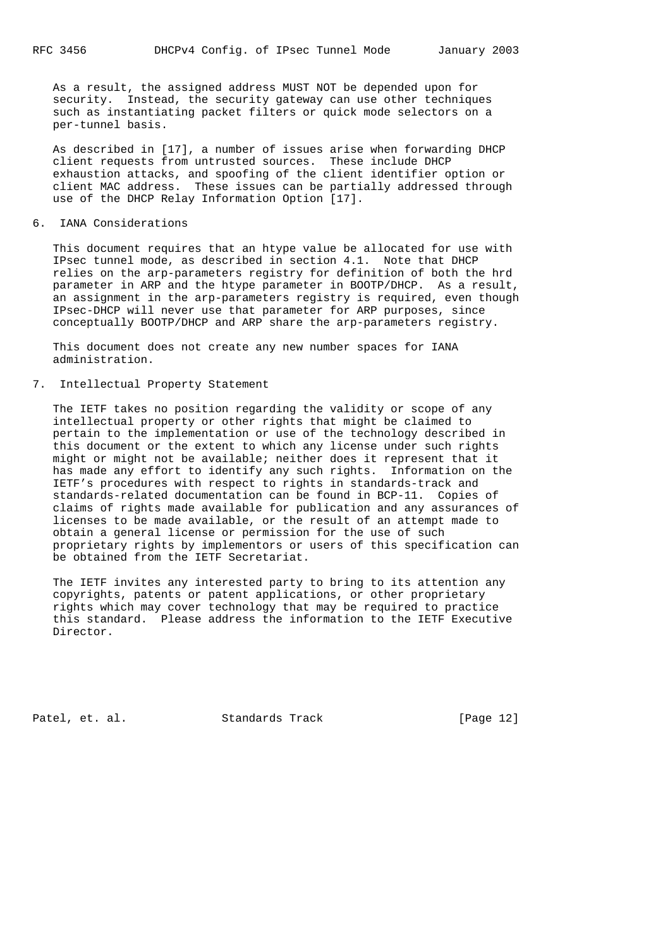As a result, the assigned address MUST NOT be depended upon for security. Instead, the security gateway can use other techniques such as instantiating packet filters or quick mode selectors on a per-tunnel basis.

 As described in [17], a number of issues arise when forwarding DHCP client requests from untrusted sources. These include DHCP exhaustion attacks, and spoofing of the client identifier option or client MAC address. These issues can be partially addressed through use of the DHCP Relay Information Option [17].

6. IANA Considerations

 This document requires that an htype value be allocated for use with IPsec tunnel mode, as described in section 4.1. Note that DHCP relies on the arp-parameters registry for definition of both the hrd parameter in ARP and the htype parameter in BOOTP/DHCP. As a result, an assignment in the arp-parameters registry is required, even though IPsec-DHCP will never use that parameter for ARP purposes, since conceptually BOOTP/DHCP and ARP share the arp-parameters registry.

 This document does not create any new number spaces for IANA administration.

7. Intellectual Property Statement

 The IETF takes no position regarding the validity or scope of any intellectual property or other rights that might be claimed to pertain to the implementation or use of the technology described in this document or the extent to which any license under such rights might or might not be available; neither does it represent that it has made any effort to identify any such rights. Information on the IETF's procedures with respect to rights in standards-track and standards-related documentation can be found in BCP-11. Copies of claims of rights made available for publication and any assurances of licenses to be made available, or the result of an attempt made to obtain a general license or permission for the use of such proprietary rights by implementors or users of this specification can be obtained from the IETF Secretariat.

 The IETF invites any interested party to bring to its attention any copyrights, patents or patent applications, or other proprietary rights which may cover technology that may be required to practice this standard. Please address the information to the IETF Executive Director.

Patel, et. al. Standards Track [Page 12]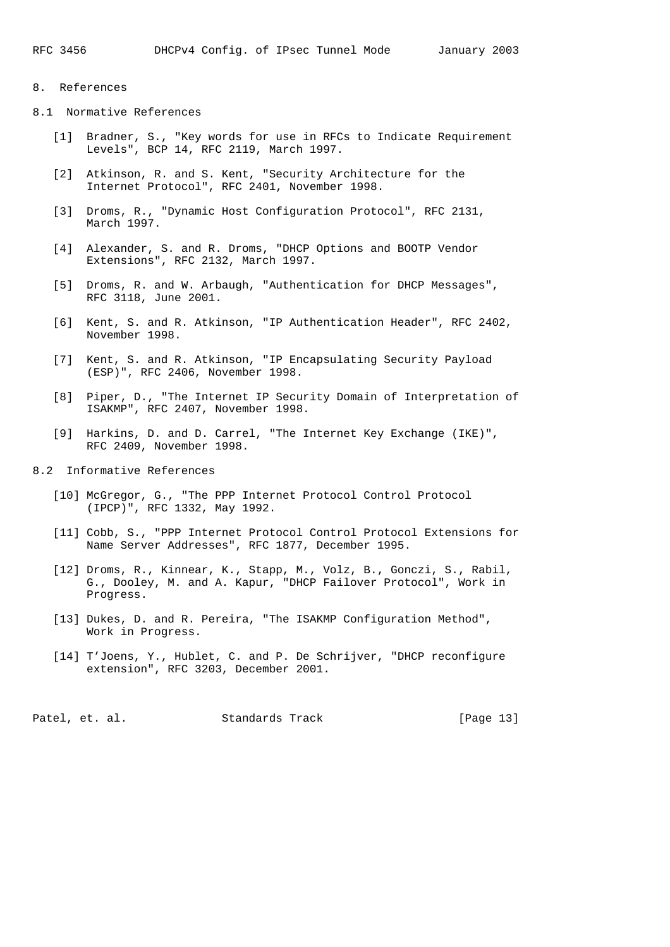# 8. References

- 8.1 Normative References
	- [1] Bradner, S., "Key words for use in RFCs to Indicate Requirement Levels", BCP 14, RFC 2119, March 1997.
	- [2] Atkinson, R. and S. Kent, "Security Architecture for the Internet Protocol", RFC 2401, November 1998.
	- [3] Droms, R., "Dynamic Host Configuration Protocol", RFC 2131, March 1997.
	- [4] Alexander, S. and R. Droms, "DHCP Options and BOOTP Vendor Extensions", RFC 2132, March 1997.
	- [5] Droms, R. and W. Arbaugh, "Authentication for DHCP Messages", RFC 3118, June 2001.
	- [6] Kent, S. and R. Atkinson, "IP Authentication Header", RFC 2402, November 1998.
	- [7] Kent, S. and R. Atkinson, "IP Encapsulating Security Payload (ESP)", RFC 2406, November 1998.
	- [8] Piper, D., "The Internet IP Security Domain of Interpretation of ISAKMP", RFC 2407, November 1998.
	- [9] Harkins, D. and D. Carrel, "The Internet Key Exchange (IKE)", RFC 2409, November 1998.
- 8.2 Informative References
	- [10] McGregor, G., "The PPP Internet Protocol Control Protocol (IPCP)", RFC 1332, May 1992.
	- [11] Cobb, S., "PPP Internet Protocol Control Protocol Extensions for Name Server Addresses", RFC 1877, December 1995.
	- [12] Droms, R., Kinnear, K., Stapp, M., Volz, B., Gonczi, S., Rabil, G., Dooley, M. and A. Kapur, "DHCP Failover Protocol", Work in Progress.
	- [13] Dukes, D. and R. Pereira, "The ISAKMP Configuration Method", Work in Progress.
	- [14] T'Joens, Y., Hublet, C. and P. De Schrijver, "DHCP reconfigure extension", RFC 3203, December 2001.

Patel, et. al. Standards Track [Page 13]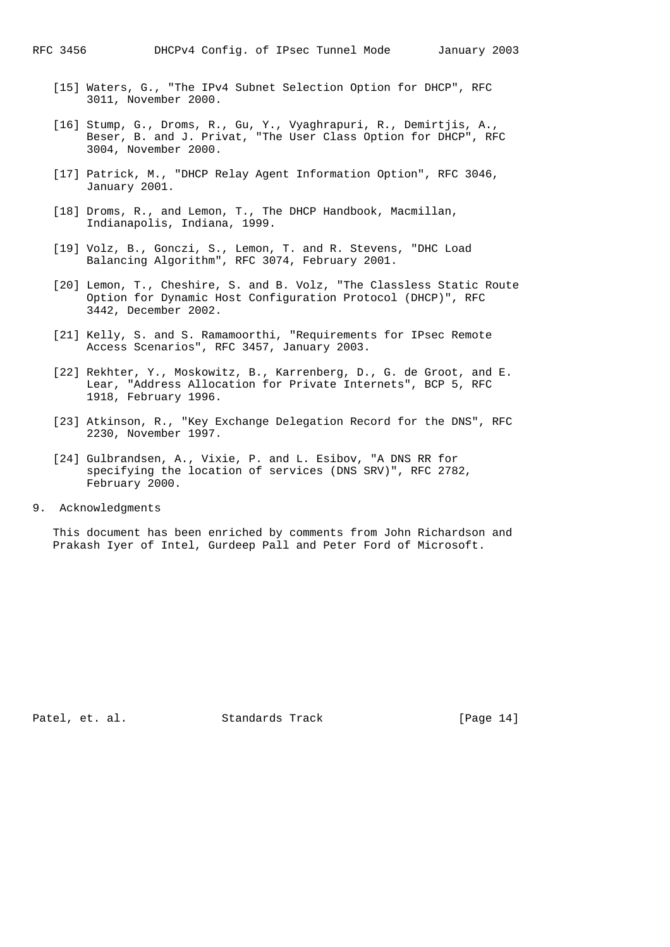- [15] Waters, G., "The IPv4 Subnet Selection Option for DHCP", RFC 3011, November 2000.
- [16] Stump, G., Droms, R., Gu, Y., Vyaghrapuri, R., Demirtjis, A., Beser, B. and J. Privat, "The User Class Option for DHCP", RFC 3004, November 2000.
- [17] Patrick, M., "DHCP Relay Agent Information Option", RFC 3046, January 2001.
- [18] Droms, R., and Lemon, T., The DHCP Handbook, Macmillan, Indianapolis, Indiana, 1999.
- [19] Volz, B., Gonczi, S., Lemon, T. and R. Stevens, "DHC Load Balancing Algorithm", RFC 3074, February 2001.
- [20] Lemon, T., Cheshire, S. and B. Volz, "The Classless Static Route Option for Dynamic Host Configuration Protocol (DHCP)", RFC 3442, December 2002.
- [21] Kelly, S. and S. Ramamoorthi, "Requirements for IPsec Remote Access Scenarios", RFC 3457, January 2003.
- [22] Rekhter, Y., Moskowitz, B., Karrenberg, D., G. de Groot, and E. Lear, "Address Allocation for Private Internets", BCP 5, RFC 1918, February 1996.
- [23] Atkinson, R., "Key Exchange Delegation Record for the DNS", RFC 2230, November 1997.
- [24] Gulbrandsen, A., Vixie, P. and L. Esibov, "A DNS RR for specifying the location of services (DNS SRV)", RFC 2782, February 2000.
- 9. Acknowledgments

 This document has been enriched by comments from John Richardson and Prakash Iyer of Intel, Gurdeep Pall and Peter Ford of Microsoft.

Patel, et. al. Standards Track [Page 14]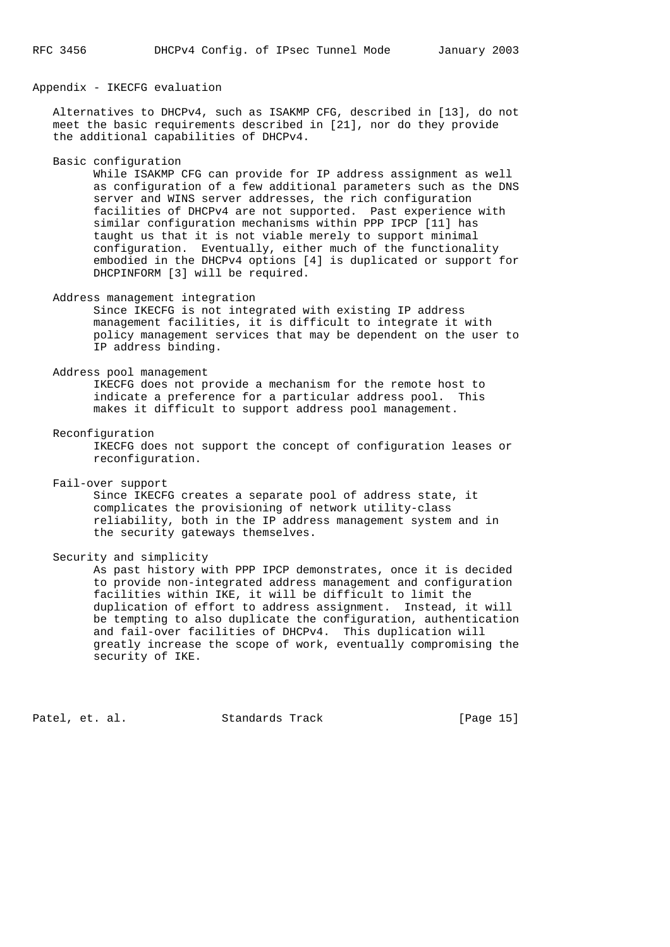Appendix - IKECFG evaluation

 Alternatives to DHCPv4, such as ISAKMP CFG, described in [13], do not meet the basic requirements described in [21], nor do they provide the additional capabilities of DHCPv4.

Basic configuration

 While ISAKMP CFG can provide for IP address assignment as well as configuration of a few additional parameters such as the DNS server and WINS server addresses, the rich configuration facilities of DHCPv4 are not supported. Past experience with similar configuration mechanisms within PPP IPCP [11] has taught us that it is not viable merely to support minimal configuration. Eventually, either much of the functionality embodied in the DHCPv4 options [4] is duplicated or support for DHCPINFORM [3] will be required.

Address management integration

 Since IKECFG is not integrated with existing IP address management facilities, it is difficult to integrate it with policy management services that may be dependent on the user to IP address binding.

Address pool management

 IKECFG does not provide a mechanism for the remote host to indicate a preference for a particular address pool. This makes it difficult to support address pool management.

Reconfiguration

 IKECFG does not support the concept of configuration leases or reconfiguration.

Fail-over support

 Since IKECFG creates a separate pool of address state, it complicates the provisioning of network utility-class reliability, both in the IP address management system and in the security gateways themselves.

Security and simplicity

 As past history with PPP IPCP demonstrates, once it is decided to provide non-integrated address management and configuration facilities within IKE, it will be difficult to limit the duplication of effort to address assignment. Instead, it will be tempting to also duplicate the configuration, authentication and fail-over facilities of DHCPv4. This duplication will greatly increase the scope of work, eventually compromising the security of IKE.

Patel, et. al. Standards Track [Page 15]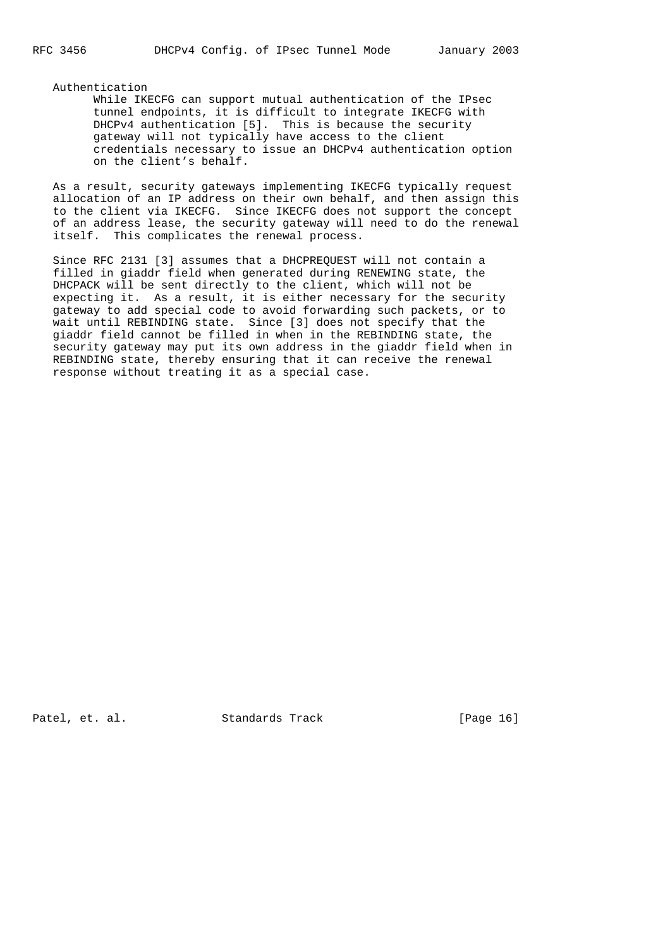Authentication

 While IKECFG can support mutual authentication of the IPsec tunnel endpoints, it is difficult to integrate IKECFG with DHCPv4 authentication [5]. This is because the security gateway will not typically have access to the client credentials necessary to issue an DHCPv4 authentication option on the client's behalf.

 As a result, security gateways implementing IKECFG typically request allocation of an IP address on their own behalf, and then assign this to the client via IKECFG. Since IKECFG does not support the concept of an address lease, the security gateway will need to do the renewal itself. This complicates the renewal process.

 Since RFC 2131 [3] assumes that a DHCPREQUEST will not contain a filled in giaddr field when generated during RENEWING state, the DHCPACK will be sent directly to the client, which will not be expecting it. As a result, it is either necessary for the security gateway to add special code to avoid forwarding such packets, or to wait until REBINDING state. Since [3] does not specify that the giaddr field cannot be filled in when in the REBINDING state, the security gateway may put its own address in the giaddr field when in REBINDING state, thereby ensuring that it can receive the renewal response without treating it as a special case.

Patel, et. al. Standards Track [Page 16]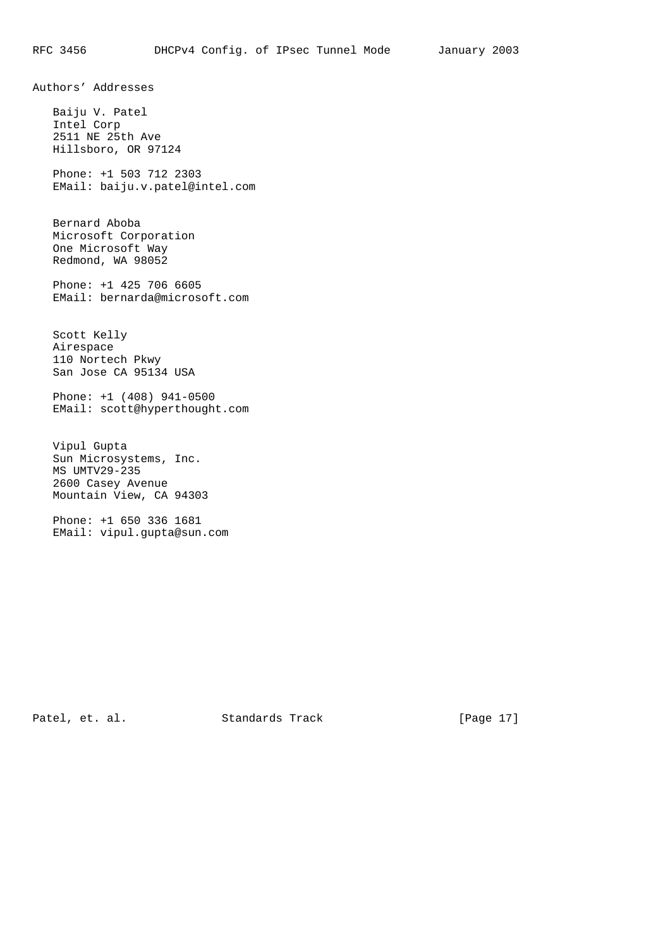Authors' Addresses

 Baiju V. Patel Intel Corp 2511 NE 25th Ave Hillsboro, OR 97124

 Phone: +1 503 712 2303 EMail: baiju.v.patel@intel.com

 Bernard Aboba Microsoft Corporation One Microsoft Way Redmond, WA 98052

 Phone: +1 425 706 6605 EMail: bernarda@microsoft.com

 Scott Kelly Airespace 110 Nortech Pkwy San Jose CA 95134 USA

 Phone: +1 (408) 941-0500 EMail: scott@hyperthought.com

 Vipul Gupta Sun Microsystems, Inc. MS UMTV29-235 2600 Casey Avenue Mountain View, CA 94303

 Phone: +1 650 336 1681 EMail: vipul.gupta@sun.com

Patel, et. al. Standards Track [Page 17]